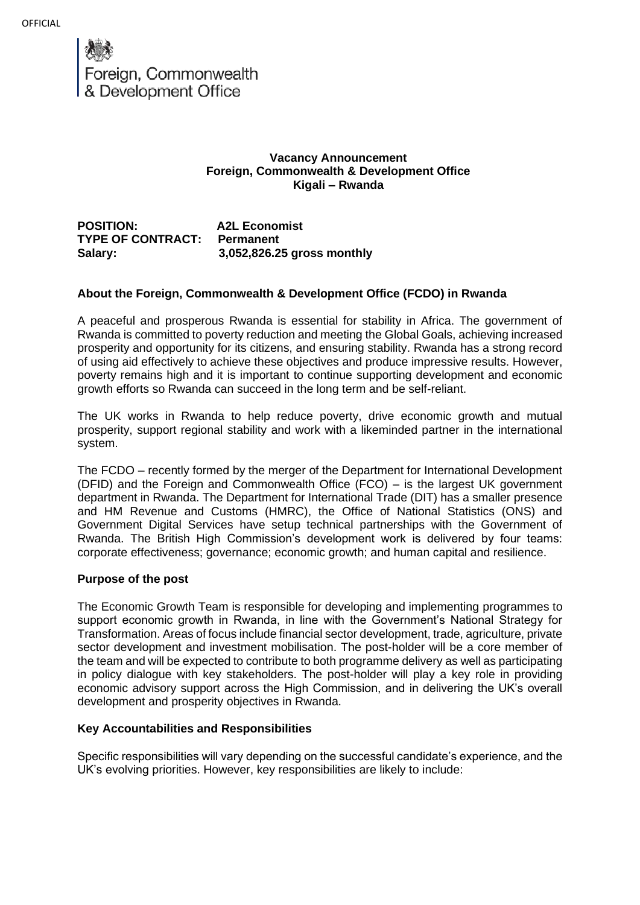

## **Vacancy Announcement Foreign, Commonwealth & Development Office Kigali – Rwanda**

**POSITION: A2L Economist TYPE OF CONTRACT: Permanent Salary: 3,052,826.25 gross monthly** 

## **About the Foreign, Commonwealth & Development Office (FCDO) in Rwanda**

A peaceful and prosperous Rwanda is essential for stability in Africa. The government of Rwanda is committed to poverty reduction and meeting the Global Goals, achieving increased prosperity and opportunity for its citizens, and ensuring stability. Rwanda has a strong record of using aid effectively to achieve these objectives and produce impressive results. However, poverty remains high and it is important to continue supporting development and economic growth efforts so Rwanda can succeed in the long term and be self-reliant.

The UK works in Rwanda to help reduce poverty, drive economic growth and mutual prosperity, support regional stability and work with a likeminded partner in the international system.

The FCDO – recently formed by the merger of the Department for International Development (DFID) and the Foreign and Commonwealth Office (FCO) – is the largest UK government department in Rwanda. The Department for International Trade (DIT) has a smaller presence and HM Revenue and Customs (HMRC), the Office of National Statistics (ONS) and Government Digital Services have setup technical partnerships with the Government of Rwanda. The British High Commission's development work is delivered by four teams: corporate effectiveness; governance; economic growth; and human capital and resilience.

### **Purpose of the post**

The Economic Growth Team is responsible for developing and implementing programmes to support economic growth in Rwanda, in line with the Government's National Strategy for Transformation. Areas of focus include financial sector development, trade, agriculture, private sector development and investment mobilisation. The post-holder will be a core member of the team and will be expected to contribute to both programme delivery as well as participating in policy dialogue with key stakeholders. The post-holder will play a key role in providing economic advisory support across the High Commission, and in delivering the UK's overall development and prosperity objectives in Rwanda.

### **Key Accountabilities and Responsibilities**

Specific responsibilities will vary depending on the successful candidate's experience, and the UK's evolving priorities. However, key responsibilities are likely to include: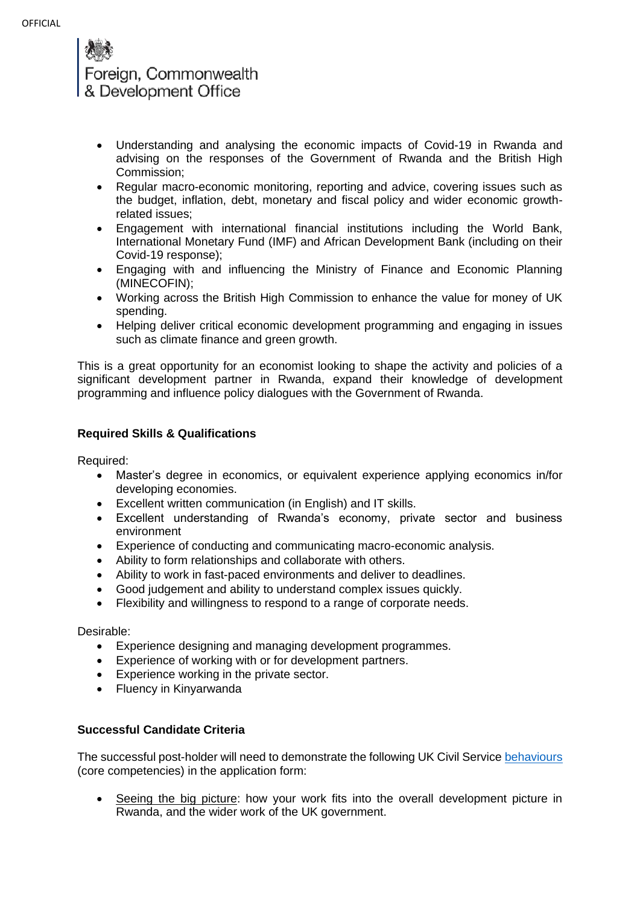Foreign, Commonwealth & Development Office

- Understanding and analysing the economic impacts of Covid-19 in Rwanda and advising on the responses of the Government of Rwanda and the British High Commission;
- Regular macro-economic monitoring, reporting and advice, covering issues such as the budget, inflation, debt, monetary and fiscal policy and wider economic growthrelated issues;
- Engagement with international financial institutions including the World Bank, International Monetary Fund (IMF) and African Development Bank (including on their Covid-19 response);
- Engaging with and influencing the Ministry of Finance and Economic Planning (MINECOFIN);
- Working across the British High Commission to enhance the value for money of UK spending.
- Helping deliver critical economic development programming and engaging in issues such as climate finance and green growth.

This is a great opportunity for an economist looking to shape the activity and policies of a significant development partner in Rwanda, expand their knowledge of development programming and influence policy dialogues with the Government of Rwanda.

# **Required Skills & Qualifications**

Required:

- Master's degree in economics, or equivalent experience applying economics in/for developing economies.
- Excellent written communication (in English) and IT skills.
- Excellent understanding of Rwanda's economy, private sector and business environment
- Experience of conducting and communicating macro-economic analysis.
- Ability to form relationships and collaborate with others.
- Ability to work in fast-paced environments and deliver to deadlines.
- Good judgement and ability to understand complex issues quickly.
- Flexibility and willingness to respond to a range of corporate needs.

Desirable:

- Experience designing and managing development programmes.
- Experience of working with or for development partners.
- Experience working in the private sector.
- Fluency in Kinyarwanda

# **Successful Candidate Criteria**

The successful post-holder will need to demonstrate the following UK Civil Service [behaviours](https://assets.publishing.service.gov.uk/government/uploads/system/uploads/attachment_data/file/717275/CS_Behaviours_2018.pdf) (core competencies) in the application form:

• Seeing the big picture: how your work fits into the overall development picture in Rwanda, and the wider work of the UK government.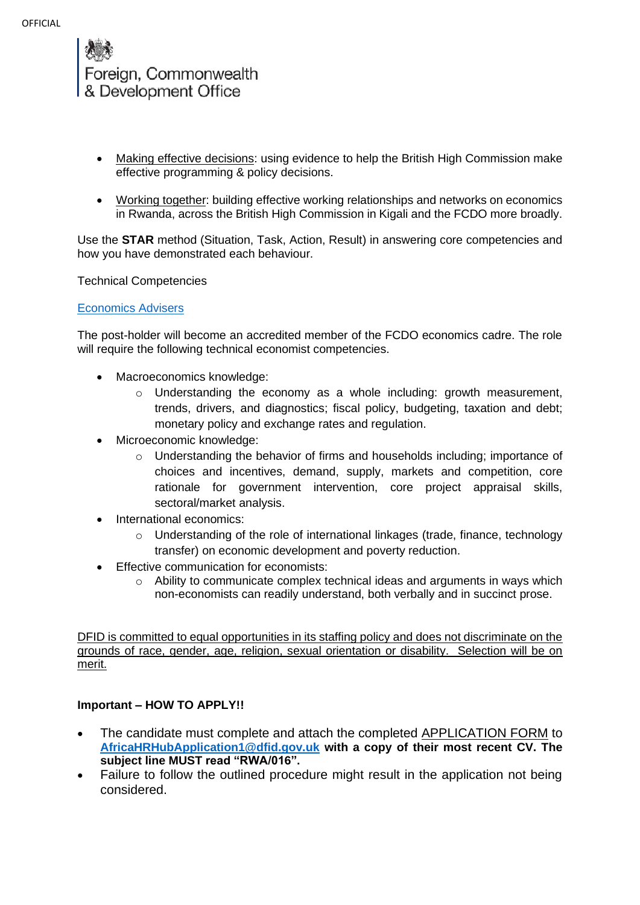

- Making effective decisions: using evidence to help the British High Commission make effective programming & policy decisions.
- Working together: building effective working relationships and networks on economics in Rwanda, across the British High Commission in Kigali and the FCDO more broadly.

Use the **STAR** method (Situation, Task, Action, Result) in answering core competencies and how you have demonstrated each behaviour.

Technical Competencies

## [Economics Advisers](https://dfid.sharepoint.com/sites/ts-37/Shared%20Documents/2016-07-18%20Economist%20Competency%20Framework%20FINAL%20(1)%20(5).pdf)

The post-holder will become an accredited member of the FCDO economics cadre. The role will require the following technical economist competencies.

- Macroeconomics knowledge:
	- $\circ$  Understanding the economy as a whole including: growth measurement, trends, drivers, and diagnostics; fiscal policy, budgeting, taxation and debt; monetary policy and exchange rates and regulation.
- Microeconomic knowledge:
	- o Understanding the behavior of firms and households including; importance of choices and incentives, demand, supply, markets and competition, core rationale for government intervention, core project appraisal skills, sectoral/market analysis.
- International economics:
	- o Understanding of the role of international linkages (trade, finance, technology transfer) on economic development and poverty reduction.
- Effective communication for economists:
	- o Ability to communicate complex technical ideas and arguments in ways which non-economists can readily understand, both verbally and in succinct prose.

DFID is committed to equal opportunities in its staffing policy and does not discriminate on the grounds of race, gender, age, religion, sexual orientation or disability. Selection will be on merit.

# **Important – HOW TO APPLY!!**

- The candidate must complete and attach the completed APPLICATION FORM to **[AfricaHRHubApplication1@dfid.gov.uk](mailto:AfricaHRHubApplication1@dfid.gov.uk) with a copy of their most recent CV. The subject line MUST read "RWA/016".**
- Failure to follow the outlined procedure might result in the application not being considered.